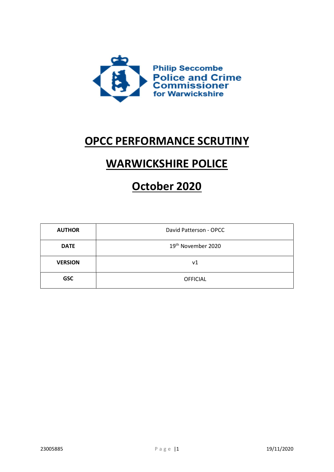

## OPCC PERFORMANCE SCRUTINY

# WARWICKSHIRE POLICE

# October 2020

| <b>AUTHOR</b>  | David Patterson - OPCC         |  |
|----------------|--------------------------------|--|
| <b>DATE</b>    | 19 <sup>th</sup> November 2020 |  |
| <b>VERSION</b> | ν1                             |  |
| <b>GSC</b>     | <b>OFFICIAL</b>                |  |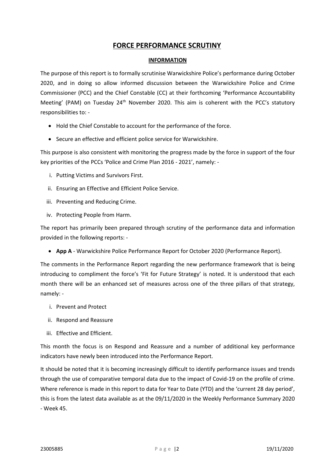## FORCE PERFORMANCE SCRUTINY

#### INFORMATION

The purpose of this report is to formally scrutinise Warwickshire Police's performance during October 2020, and in doing so allow informed discussion between the Warwickshire Police and Crime Commissioner (PCC) and the Chief Constable (CC) at their forthcoming 'Performance Accountability Meeting' (PAM) on Tuesday 24<sup>th</sup> November 2020. This aim is coherent with the PCC's statutory responsibilities to: -

- Hold the Chief Constable to account for the performance of the force.
- Secure an effective and efficient police service for Warwickshire.

This purpose is also consistent with monitoring the progress made by the force in support of the four key priorities of the PCCs 'Police and Crime Plan 2016 - 2021', namely: -

- i. Putting Victims and Survivors First.
- ii. Ensuring an Effective and Efficient Police Service.
- iii. Preventing and Reducing Crime.
- iv. Protecting People from Harm.

The report has primarily been prepared through scrutiny of the performance data and information provided in the following reports: -

• App A - Warwickshire Police Performance Report for October 2020 (Performance Report).

The comments in the Performance Report regarding the new performance framework that is being introducing to compliment the force's 'Fit for Future Strategy' is noted. It is understood that each month there will be an enhanced set of measures across one of the three pillars of that strategy, namely: -

- i. Prevent and Protect
- ii. Respond and Reassure
- iii. Effective and Efficient.

This month the focus is on Respond and Reassure and a number of additional key performance indicators have newly been introduced into the Performance Report.

It should be noted that it is becoming increasingly difficult to identify performance issues and trends through the use of comparative temporal data due to the impact of Covid-19 on the profile of crime. Where reference is made in this report to data for Year to Date (YTD) and the 'current 28 day period', this is from the latest data available as at the 09/11/2020 in the Weekly Performance Summary 2020 - Week 45.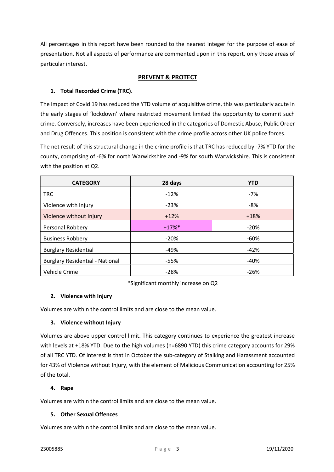All percentages in this report have been rounded to the nearest integer for the purpose of ease of presentation. Not all aspects of performance are commented upon in this report, only those areas of particular interest.

## PREVENT & PROTECT

## 1. Total Recorded Crime (TRC).

The impact of Covid 19 has reduced the YTD volume of acquisitive crime, this was particularly acute in the early stages of 'lockdown' where restricted movement limited the opportunity to commit such crime. Conversely, increases have been experienced in the categories of Domestic Abuse, Public Order and Drug Offences. This position is consistent with the crime profile across other UK police forces.

The net result of this structural change in the crime profile is that TRC has reduced by -7% YTD for the county, comprising of -6% for north Warwickshire and -9% for south Warwickshire. This is consistent with the position at Q2.

| <b>CATEGORY</b>                        | 28 days  | <b>YTD</b> |
|----------------------------------------|----------|------------|
| <b>TRC</b>                             | $-12%$   | -7%        |
| Violence with Injury                   | $-23%$   | -8%        |
| Violence without Injury                | $+12%$   | $+18%$     |
| Personal Robbery                       | $+17%$ * | $-20%$     |
| <b>Business Robbery</b>                | $-20%$   | $-60%$     |
| <b>Burglary Residential</b>            | $-49%$   | $-42%$     |
| <b>Burglary Residential - National</b> | $-55%$   | $-40%$     |
| Vehicle Crime                          | $-28%$   | $-26%$     |

\*Significant monthly increase on Q2

## 2. Violence with Injury

Volumes are within the control limits and are close to the mean value.

#### 3. Violence without Injury

Volumes are above upper control limit. This category continues to experience the greatest increase with levels at +18% YTD. Due to the high volumes (n=6890 YTD) this crime category accounts for 29% of all TRC YTD. Of interest is that in October the sub-category of Stalking and Harassment accounted for 43% of Violence without Injury, with the element of Malicious Communication accounting for 25% of the total.

## 4. Rape

Volumes are within the control limits and are close to the mean value.

### 5. Other Sexual Offences

Volumes are within the control limits and are close to the mean value.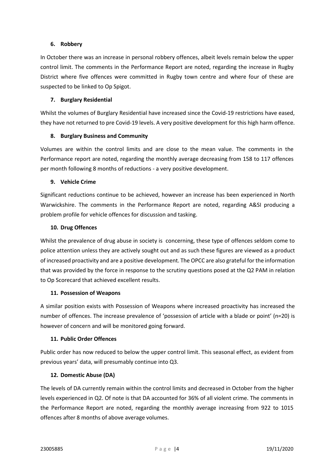### 6. Robbery

In October there was an increase in personal robbery offences, albeit levels remain below the upper control limit. The comments in the Performance Report are noted, regarding the increase in Rugby District where five offences were committed in Rugby town centre and where four of these are suspected to be linked to Op Spigot.

## 7. Burglary Residential

Whilst the volumes of Burglary Residential have increased since the Covid-19 restrictions have eased, they have not returned to pre Covid-19 levels. A very positive development for this high harm offence.

## 8. Burglary Business and Community

Volumes are within the control limits and are close to the mean value. The comments in the Performance report are noted, regarding the monthly average decreasing from 158 to 117 offences per month following 8 months of reductions - a very positive development.

## 9. Vehicle Crime

Significant reductions continue to be achieved, however an increase has been experienced in North Warwickshire. The comments in the Performance Report are noted, regarding A&SI producing a problem profile for vehicle offences for discussion and tasking.

## 10. Drug Offences

Whilst the prevalence of drug abuse in society is concerning, these type of offences seldom come to police attention unless they are actively sought out and as such these figures are viewed as a product of increased proactivity and are a positive development. The OPCC are also grateful for the information that was provided by the force in response to the scrutiny questions posed at the Q2 PAM in relation to Op Scorecard that achieved excellent results.

#### 11. Possession of Weapons

A similar position exists with Possession of Weapons where increased proactivity has increased the number of offences. The increase prevalence of 'possession of article with a blade or point' (n=20) is however of concern and will be monitored going forward.

## 11. Public Order Offences

Public order has now reduced to below the upper control limit. This seasonal effect, as evident from previous years' data, will presumably continue into Q3.

## 12. Domestic Abuse (DA)

The levels of DA currently remain within the control limits and decreased in October from the higher levels experienced in Q2. Of note is that DA accounted for 36% of all violent crime. The comments in the Performance Report are noted, regarding the monthly average increasing from 922 to 1015 offences after 8 months of above average volumes.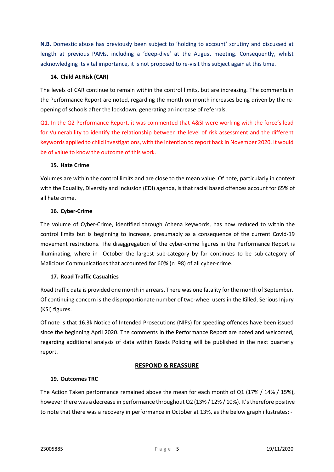N.B. Domestic abuse has previously been subject to 'holding to account' scrutiny and discussed at length at previous PAMs, including a 'deep-dive' at the August meeting. Consequently, whilst acknowledging its vital importance, it is not proposed to re-visit this subject again at this time.

### 14. Child At Risk (CAR)

The levels of CAR continue to remain within the control limits, but are increasing. The comments in the Performance Report are noted, regarding the month on month increases being driven by the reopening of schools after the lockdown, generating an increase of referrals.

Q1. In the Q2 Performance Report, it was commented that A&SI were working with the force's lead for Vulnerability to identify the relationship between the level of risk assessment and the different keywords applied to child investigations, with the intention to report back in November 2020. It would be of value to know the outcome of this work.

#### 15. Hate Crime

Volumes are within the control limits and are close to the mean value. Of note, particularly in context with the Equality, Diversity and Inclusion (EDI) agenda, is that racial based offences account for 65% of all hate crime.

## 16. Cyber-Crime

The volume of Cyber-Crime, identified through Athena keywords, has now reduced to within the control limits but is beginning to increase, presumably as a consequence of the current Covid-19 movement restrictions. The disaggregation of the cyber-crime figures in the Performance Report is illuminating, where in October the largest sub-category by far continues to be sub-category of Malicious Communications that accounted for 60% (n=98) of all cyber-crime.

## 17. Road Traffic Casualties

Road traffic data is provided one month in arrears. There was one fatality for the month of September. Of continuing concern is the disproportionate number of two-wheel users in the Killed, Serious Injury (KSI) figures.

Of note is that 16.3k Notice of Intended Prosecutions (NIPs) for speeding offences have been issued since the beginning April 2020. The comments in the Performance Report are noted and welcomed, regarding additional analysis of data within Roads Policing will be published in the next quarterly report.

## RESPOND & REASSURE

#### 19. Outcomes TRC

The Action Taken performance remained above the mean for each month of Q1 (17% / 14% / 15%), however there was a decrease in performance throughout Q2 (13% / 12% / 10%). It's therefore positive to note that there was a recovery in performance in October at 13%, as the below graph illustrates: -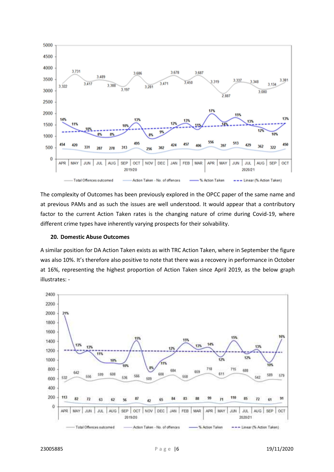

The complexity of Outcomes has been previously explored in the OPCC paper of the same name and at previous PAMs and as such the issues are well understood. It would appear that a contributory factor to the current Action Taken rates is the changing nature of crime during Covid-19, where different crime types have inherently varying prospects for their solvability.

#### 20. Domestic Abuse Outcomes

A similar position for DA Action Taken exists as with TRC Action Taken, where in September the figure was also 10%. It's therefore also positive to note that there was a recovery in performance in October at 16%, representing the highest proportion of Action Taken since April 2019, as the below graph illustrates: -

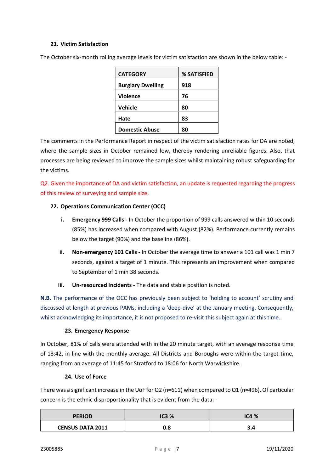### 21. Victim Satisfaction

| <b>CATEGORY</b>          | % SATISFIED |
|--------------------------|-------------|
| <b>Burglary Dwelling</b> | 918         |
| <b>Violence</b>          | 76          |
| <b>Vehicle</b>           | 80          |
| Hate                     | 83          |
| <b>Domestic Abuse</b>    | 80          |

The October six-month rolling average levels for victim satisfaction are shown in the below table: -

The comments in the Performance Report in respect of the victim satisfaction rates for DA are noted, where the sample sizes in October remained low, thereby rendering unreliable figures. Also, that processes are being reviewed to improve the sample sizes whilst maintaining robust safeguarding for the victims.

Q2. Given the importance of DA and victim satisfaction, an update is requested regarding the progress of this review of surveying and sample size.

## 22. Operations Communication Center (OCC)

- i. Emergency 999 Calls In October the proportion of 999 calls answered within 10 seconds (85%) has increased when compared with August (82%). Performance currently remains below the target (90%) and the baseline (86%).
- ii. Non-emergency 101 Calls In October the average time to answer a 101 call was 1 min 7 seconds, against a target of 1 minute. This represents an improvement when compared to September of 1 min 38 seconds.
- iii. Un-resourced Incidents The data and stable position is noted.

N.B. The performance of the OCC has previously been subject to 'holding to account' scrutiny and discussed at length at previous PAMs, including a 'deep-dive' at the January meeting. Consequently, whilst acknowledging its importance, it is not proposed to re-visit this subject again at this time.

#### 23. Emergency Response

In October, 81% of calls were attended with in the 20 minute target, with an average response time of 13:42, in line with the monthly average. All Districts and Boroughs were within the target time, ranging from an average of 11:45 for Stratford to 18:06 for North Warwickshire.

#### 24. Use of Force

There was a significant increase in the UoF for Q2 (n=611) when compared to Q1 (n=496). Of particular concern is the ethnic disproportionality that is evident from the data: -

| <b>PERIOD</b>           | IC3% | IC4%  |
|-------------------------|------|-------|
| <b>CENSUS DATA 2011</b> | 0.8  | - 3.4 |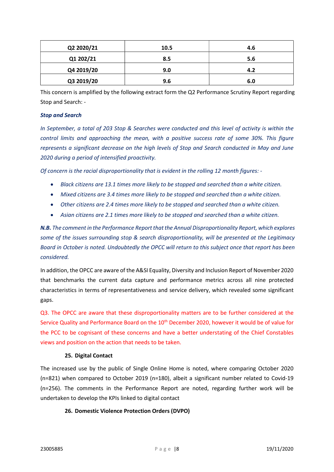| Q2 2020/21 | 10.5 | 4.6 |
|------------|------|-----|
| Q1 202/21  | 8.5  | 5.6 |
| Q4 2019/20 | 9.0  | 4.2 |
| Q3 2019/20 | 9.6  | 6.0 |

This concern is amplified by the following extract form the Q2 Performance Scrutiny Report regarding Stop and Search: -

#### Stop and Search

In September, a total of 203 Stop & Searches were conducted and this level of activity is within the control limits and approaching the mean, with a positive success rate of some 30%. This figure represents a significant decrease on the high levels of Stop and Search conducted in May and June 2020 during a period of intensified proactivity.

Of concern is the racial disproportionality that is evident in the rolling 12 month figures: -

- Black citizens are 13.1 times more likely to be stopped and searched than a white citizen.
- Mixed citizens are 3.4 times more likely to be stopped and searched than a white citizen.
- Other citizens are 2.4 times more likely to be stopped and searched than a white citizen.
- Asian citizens are 2.1 times more likely to be stopped and searched than a white citizen.

N.B. The comment in the Performance Report that the Annual Disproportionality Report, which explores some of the issues surrounding stop & search disproportionality, will be presented at the Legitimacy Board in October is noted. Undoubtedly the OPCC will return to this subject once that report has been considered.

In addition, the OPCC are aware of the A&SI Equality, Diversity and Inclusion Report of November 2020 that benchmarks the current data capture and performance metrics across all nine protected characteristics in terms of representativeness and service delivery, which revealed some significant gaps.

Q3. The OPCC are aware that these disproportionality matters are to be further considered at the Service Quality and Performance Board on the 10<sup>th</sup> December 2020, however it would be of value for the PCC to be cognisant of these concerns and have a better understating of the Chief Constables views and position on the action that needs to be taken.

#### 25. Digital Contact

The increased use by the public of Single Online Home is noted, where comparing October 2020 (n=821) when compared to October 2019 (n=180), albeit a significant number related to Covid-19 (n=256). The comments in the Performance Report are noted, regarding further work will be undertaken to develop the KPIs linked to digital contact

#### 26. Domestic Violence Protection Orders (DVPO)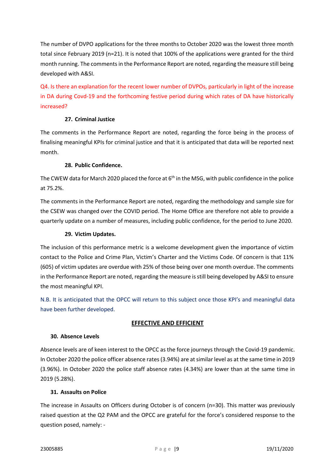The number of DVPO applications for the three months to October 2020 was the lowest three month total since February 2019 (n=21). It is noted that 100% of the applications were granted for the third month running. The comments in the Performance Report are noted, regarding the measure still being developed with A&SI.

Q4. Is there an explanation for the recent lower number of DVPOs, particularly in light of the increase in DA during Covd-19 and the forthcoming festive period during which rates of DA have historically increased?

## 27. Criminal Justice

The comments in the Performance Report are noted, regarding the force being in the process of finalising meaningful KPIs for criminal justice and that it is anticipated that data will be reported next month.

## 28. Public Confidence.

The CWEW data for March 2020 placed the force at  $6<sup>th</sup>$  in the MSG, with public confidence in the police at 75.2%.

The comments in the Performance Report are noted, regarding the methodology and sample size for the CSEW was changed over the COVID period. The Home Office are therefore not able to provide a quarterly update on a number of measures, including public confidence, for the period to June 2020.

## 29. Victim Updates.

The inclusion of this performance metric is a welcome development given the importance of victim contact to the Police and Crime Plan, Victim's Charter and the Victims Code. Of concern is that 11% (605) of victim updates are overdue with 25% of those being over one month overdue. The comments in the Performance Report are noted, regarding the measure is still being developed by A&SI to ensure the most meaningful KPI.

N.B. It is anticipated that the OPCC will return to this subject once those KPI's and meaningful data have been further developed.

## EFFECTIVE AND EFFICIENT

#### 30. Absence Levels

Absence levels are of keen interest to the OPCC as the force journeys through the Covid-19 pandemic. In October 2020 the police officer absence rates (3.94%) are at similar level as at the same time in 2019 (3.96%). In October 2020 the police staff absence rates (4.34%) are lower than at the same time in 2019 (5.28%).

## 31. Assaults on Police

The increase in Assaults on Officers during October is of concern (n=30). This matter was previously raised question at the Q2 PAM and the OPCC are grateful for the force's considered response to the question posed, namely: -